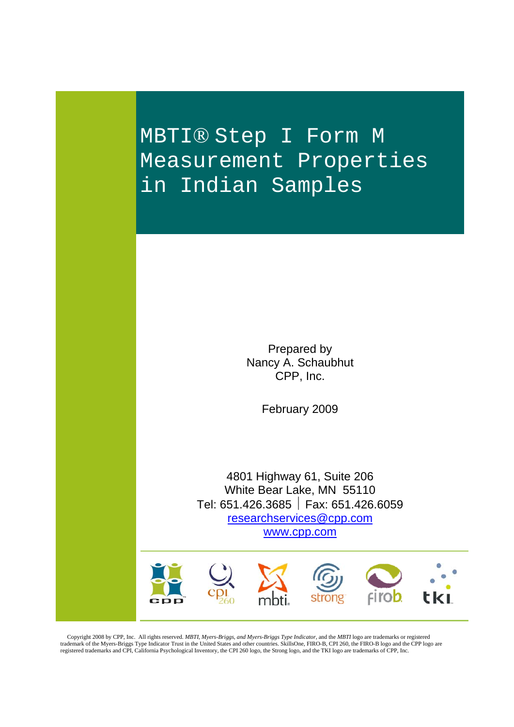MBTI® Step I Form M Measurement Properties in Indian Samples

> Prepared by Nancy A. Schaubhut CPP, Inc.

> > February 2009

4801 Highway 61, Suite 206 White Bear Lake, MN 55110 Tel: 651.426.3685 Fax: 651.426.6059 researchservices@cpp.com www.cpp.com



 Copyright 2008 by CPP, Inc. All rights reserved. *MBTI, Myers-Briggs, and Myers-Briggs Type Indicator,* and the *MBTI* logo are trademarks or registered trademark of the Myers-Briggs Type Indicator Trust in the United States and other countries. SkillsOne, FIRO-B, CPI 260, the FIRO-B logo and the CPP logo are<br>registered trademarks and CPI, California Psychological Inventor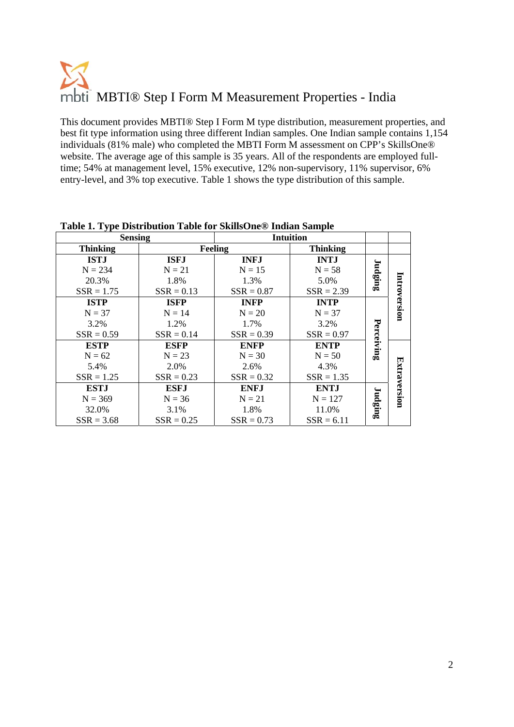This document provides MBTI® Step I Form M type distribution, measurement properties, and best fit type information using three different Indian samples. One Indian sample contains 1,154 individuals (81% male) who completed the MBTI Form M assessment on CPP's SkillsOne® website. The average age of this sample is 35 years. All of the respondents are employed fulltime; 54% at management level, 15% executive, 12% non-supervisory, 11% supervisor, 6% entry-level, and 3% top executive. Table 1 shows the type distribution of this sample.

|                     | <b>Intuition</b> |              |              | <b>Sensing</b>  |
|---------------------|------------------|--------------|--------------|-----------------|
|                     | <b>Thinking</b>  | Feeling      |              | <b>Thinking</b> |
|                     | <b>INTJ</b>      | <b>INFJ</b>  | <b>ISFJ</b>  | <b>ISTJ</b>     |
|                     | $N = 58$         | $N = 15$     | $N = 21$     | $N = 234$       |
| Judging             | 5.0%             | 1.3%         | 1.8%         | 20.3%           |
|                     | $SSR = 2.39$     | $SSR = 0.87$ | $SSR = 0.13$ | $SSR = 1.75$    |
| Introversion        | <b>INTP</b>      | <b>INFP</b>  | <b>ISFP</b>  | <b>ISTP</b>     |
|                     | $N = 37$         | $N = 20$     | $N = 14$     | $N = 37$        |
|                     | 3.2%             | 1.7%         | 1.2%         | 3.2%            |
|                     | $SSR = 0.97$     | $SSR = 0.39$ | $SSR = 0.14$ | $SSR = 0.59$    |
| Perceiving          | <b>ENTP</b>      | <b>ENFP</b>  | <b>ESFP</b>  | <b>ESTP</b>     |
|                     | $N = 50$         | $N = 30$     | $N = 23$     | $N = 62$        |
|                     | 4.3%             | 2.6%         | 2.0%         | 5.4%            |
| <b>Extraversion</b> | $SSR = 1.35$     | $SSR = 0.32$ | $SSR = 0.23$ | $SSR = 1.25$    |
|                     | <b>ENTJ</b>      | <b>ENFJ</b>  | <b>ESFJ</b>  | <b>ESTJ</b>     |
|                     | $N = 127$        | $N = 21$     | $N = 36$     | $N = 369$       |
| Judging             | 11.0%            | 1.8%         | 3.1%         | 32.0%           |
|                     | $SSR = 6.11$     | $SSR = 0.73$ | $SSR = 0.25$ | $SSR = 3.68$    |

**Table 1. Type Distribution Table for SkillsOne® Indian Sample**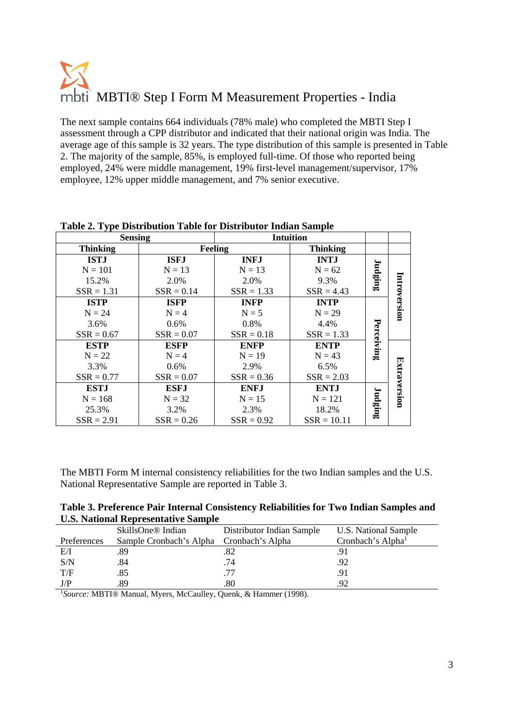The next sample contains 664 individuals (78% male) who completed the MBTI Step I assessment through a CPP distributor and indicated that their national origin was India. The average age of this sample is 32 years. The type distribution of this sample is presented in Table 2. The majority of the sample, 85%, is employed full-time. Of those who reported being employed, 24% were middle management, 19% first-level management/supervisor, 17% employee, 12% upper middle management, and 7% senior executive.

| <b>Sensing</b>  |              |              | <b>Intuition</b> |            |              |
|-----------------|--------------|--------------|------------------|------------|--------------|
| <b>Thinking</b> |              | Feeling      | <b>Thinking</b>  |            |              |
| <b>ISTJ</b>     | <b>ISFJ</b>  | <b>INFJ</b>  | <b>INTJ</b>      |            |              |
| $N = 101$       | $N = 13$     | $N = 13$     | $N = 62$         | Judging    |              |
| 15.2%           | 2.0%         | 2.0%         | 9.3%             |            |              |
| $SSR = 1.31$    | $SSR = 0.14$ | $SSR = 1.33$ | $SSR = 4.43$     |            |              |
| <b>ISTP</b>     | <b>ISFP</b>  | <b>INFP</b>  | <b>INTP</b>      |            | Introversion |
| $N = 24$        | $N = 4$      | $N = 5$      | $N = 29$         |            |              |
| 3.6%            | $0.6\%$      | 0.8%         | 4.4%             |            |              |
| $SSR = 0.67$    | $SSR = 0.07$ | $SSR = 0.18$ | $SSR = 1.33$     |            |              |
| <b>ESTP</b>     | <b>ESFP</b>  | <b>ENFP</b>  | <b>ENTP</b>      | Perceiving |              |
| $N = 22$        | $N = 4$      | $N = 19$     | $N = 43$         |            |              |
| 3.3%            | $0.6\%$      | 2.9%         | 6.5%             |            |              |
| $SSR = 0.77$    | $SSR = 0.07$ | $SSR = 0.36$ | $SSR = 2.03$     |            | Extraversion |
| <b>ESTJ</b>     | <b>ESFJ</b>  | <b>ENFJ</b>  | <b>ENTJ</b>      |            |              |
| $N = 168$       | $N = 32$     | $N = 15$     | $N = 121$        |            |              |
| 25.3%           | 3.2%         | 2.3%         | 18.2%            | Judging    |              |
| $SSR = 2.91$    | $SSR = 0.26$ | $SSR = 0.92$ | $SSR = 10.11$    |            |              |

**Table 2. Type Distribution Table for Distributor Indian Sample** 

The MBTI Form M internal consistency reliabilities for the two Indian samples and the U.S. National Representative Sample are reported in Table 3.

| Table 3. Preference Pair Internal Consistency Reliabilities for Two Indian Samples and |  |  |
|----------------------------------------------------------------------------------------|--|--|
| <b>U.S. National Representative Sample</b>                                             |  |  |

|             | SkillsOne <sup>®</sup> Indian            | Distributor Indian Sample | U.S. National Sample          |
|-------------|------------------------------------------|---------------------------|-------------------------------|
| Preferences | Sample Cronbach's Alpha Cronbach's Alpha |                           | Cronbach's Alpha <sup>1</sup> |
| E/I         | .89                                      | .82                       | .91                           |
| S/N         | .84                                      | .74                       | .92                           |
| T/F         | .85                                      | .77                       | .91                           |
| J/P         | .89                                      | .80                       | 92                            |

1 *Source:* MBTI® Manual, Myers, McCaulley, Quenk, & Hammer (1998).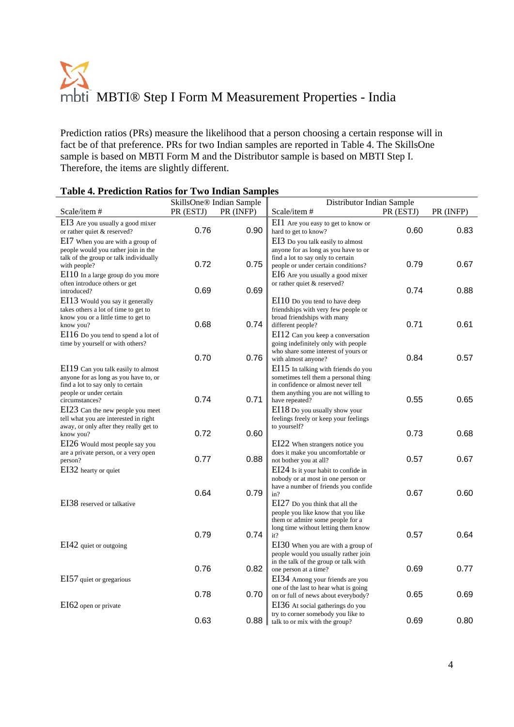Prediction ratios (PRs) measure the likelihood that a person choosing a certain response will in fact be of that preference. PRs for two Indian samples are reported in Table 4. The SkillsOne sample is based on MBTI Form M and the Distributor sample is based on MBTI Step I. Therefore, the items are slightly different.

|                                                                         |           | SkillsOne <sup>®</sup> Indian Sample | Distributor Indian Sample                                                     |           |           |
|-------------------------------------------------------------------------|-----------|--------------------------------------|-------------------------------------------------------------------------------|-----------|-----------|
| Scale/item#                                                             | PR (ESTJ) | PR (INFP)                            | Scale/item#                                                                   | PR (ESTJ) | PR (INFP) |
| EI3 Are you usually a good mixer                                        |           |                                      | EI1 Are you easy to get to know or                                            |           |           |
| or rather quiet & reserved?                                             | 0.76      | 0.90                                 | hard to get to know?                                                          | 0.60      | 0.83      |
| EI7 When you are with a group of                                        |           |                                      | EI3 Do you talk easily to almost                                              |           |           |
| people would you rather join in the                                     |           |                                      | anyone for as long as you have to or                                          |           |           |
| talk of the group or talk individually                                  |           |                                      | find a lot to say only to certain                                             |           |           |
| with people?                                                            | 0.72      | 0.75                                 | people or under certain conditions?                                           | 0.79      | 0.67      |
| EI10 In a large group do you more                                       |           |                                      | EI6 Are you usually a good mixer                                              |           |           |
| often introduce others or get<br>introduced?                            | 0.69      | 0.69                                 | or rather quiet & reserved?                                                   | 0.74      | 0.88      |
|                                                                         |           |                                      |                                                                               |           |           |
| EI13 Would you say it generally<br>takes others a lot of time to get to |           |                                      | EI10 Do you tend to have deep<br>friendships with very few people or          |           |           |
| know you or a little time to get to                                     |           |                                      | broad friendships with many                                                   |           |           |
| know you?                                                               | 0.68      | 0.74                                 | different people?                                                             | 0.71      | 0.61      |
| EI16 Do you tend to spend a lot of                                      |           |                                      | EI12 Can you keep a conversation                                              |           |           |
| time by yourself or with others?                                        |           |                                      | going indefinitely only with people                                           |           |           |
|                                                                         |           |                                      | who share some interest of yours or                                           |           |           |
|                                                                         | 0.70      | 0.76                                 | with almost anyone?                                                           | 0.84      | 0.57      |
| EI19 Can you talk easily to almost                                      |           |                                      | $E115$ In talking with friends do you                                         |           |           |
| anyone for as long as you have to, or                                   |           |                                      | sometimes tell them a personal thing                                          |           |           |
| find a lot to say only to certain<br>people or under certain            |           |                                      | in confidence or almost never tell<br>them anything you are not willing to    |           |           |
| circumstances?                                                          | 0.74      | 0.71                                 | have repeated?                                                                | 0.55      | 0.65      |
| EI23 Can the new people you meet                                        |           |                                      | EI18 Do you usually show your                                                 |           |           |
| tell what you are interested in right                                   |           |                                      | feelings freely or keep your feelings                                         |           |           |
| away, or only after they really get to                                  |           |                                      | to yourself?                                                                  |           |           |
| know you?                                                               | 0.72      | 0.60                                 |                                                                               | 0.73      | 0.68      |
| EI26 Would most people say you                                          |           |                                      | EI22 When strangers notice you                                                |           |           |
| are a private person, or a very open                                    | 0.77      | 0.88                                 | does it make you uncomfortable or                                             | 0.57      | 0.67      |
| person?                                                                 |           |                                      | not bother you at all?                                                        |           |           |
| EI32 hearty or quiet                                                    |           |                                      | EI24 Is it your habit to confide in                                           |           |           |
|                                                                         |           |                                      | nobody or at most in one person or<br>have a number of friends you confide    |           |           |
|                                                                         | 0.64      | 0.79                                 | in?                                                                           | 0.67      | 0.60      |
| EI38 reserved or talkative                                              |           |                                      | EI27 Do you think that all the                                                |           |           |
|                                                                         |           |                                      | people you like know that you like                                            |           |           |
|                                                                         |           |                                      | them or admire some people for a                                              |           |           |
|                                                                         |           |                                      | long time without letting them know                                           |           |           |
|                                                                         | 0.79      | 0.74                                 | it?                                                                           | 0.57      | 0.64      |
| EI42 quiet or outgoing                                                  |           |                                      | EI30 When you are with a group of                                             |           |           |
|                                                                         |           |                                      | people would you usually rather join<br>in the talk of the group or talk with |           |           |
|                                                                         | 0.76      | 0.82                                 | one person at a time?                                                         | 0.69      | 0.77      |
| EI57 quiet or gregarious                                                |           |                                      | EI34 Among your friends are you                                               |           |           |
|                                                                         |           |                                      | one of the last to hear what is going                                         |           |           |
|                                                                         | 0.78      | 0.70                                 | on or full of news about everybody?                                           | 0.65      | 0.69      |
| EI62 open or private                                                    |           |                                      | EI36 At social gatherings do you                                              |           |           |
|                                                                         |           |                                      | try to corner somebody you like to                                            |           |           |
|                                                                         | 0.63      | 0.88                                 | talk to or mix with the group?                                                | 0.69      | 0.80      |

#### **Table 4. Prediction Ratios for Two Indian Samples**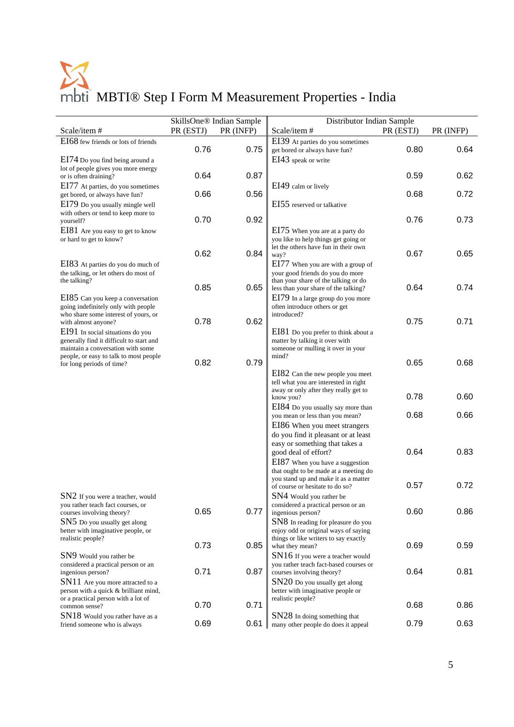|                                                                                                                  |           | SkillsOne <sup>®</sup> Indian Sample | Distributor Indian Sample                                                                                           |           |           |
|------------------------------------------------------------------------------------------------------------------|-----------|--------------------------------------|---------------------------------------------------------------------------------------------------------------------|-----------|-----------|
| Scale/item#                                                                                                      | PR (ESTJ) | PR (INFP)                            | Scale/item#                                                                                                         | PR (ESTJ) | PR (INFP) |
| EI68 few friends or lots of friends<br>EI74 Do you find being around a                                           | 0.76      | 0.75                                 | EI39 At parties do you sometimes<br>get bored or always have fun?<br>EI43 speak or write                            | 0.80      | 0.64      |
| lot of people gives you more energy<br>or is often draining?                                                     | 0.64      | 0.87                                 |                                                                                                                     | 0.59      | 0.62      |
| EI77 At parties, do you sometimes<br>get bored, or always have fun?                                              | 0.66      | 0.56                                 | EI49 calm or lively                                                                                                 | 0.68      | 0.72      |
| EI79 Do you usually mingle well<br>with others or tend to keep more to                                           | 0.70      | 0.92                                 | EI55 reserved or talkative                                                                                          | 0.76      | 0.73      |
| yourself?<br>EI81 Are you easy to get to know<br>or hard to get to know?                                         |           |                                      | EI75 When you are at a party do<br>you like to help things get going or                                             |           |           |
|                                                                                                                  | 0.62      | 0.84                                 | let the others have fun in their own<br>way?                                                                        | 0.67      | 0.65      |
| EI83 At parties do you do much of<br>the talking, or let others do most of<br>the talking?                       |           |                                      | EI77 When you are with a group of<br>your good friends do you do more<br>than your share of the talking or do       |           |           |
| EI85 Can you keep a conversation                                                                                 | 0.85      | 0.65                                 | less than your share of the talking?<br>EI79 In a large group do you more                                           | 0.64      | 0.74      |
| going indefinitely only with people<br>who share some interest of yours, or<br>with almost anyone?               | 0.78      | 0.62                                 | often introduce others or get<br>introduced?                                                                        | 0.75      | 0.71      |
| EI91 In social situations do you<br>generally find it difficult to start and                                     |           |                                      | EI81 Do you prefer to think about a<br>matter by talking it over with                                               |           |           |
| maintain a conversation with some<br>people, or easy to talk to most people<br>for long periods of time?         | 0.82      | 0.79                                 | someone or mulling it over in your<br>mind?                                                                         | 0.65      | 0.68      |
|                                                                                                                  |           |                                      | EI82 Can the new people you meet<br>tell what you are interested in right                                           |           |           |
|                                                                                                                  |           |                                      | away or only after they really get to<br>know you?                                                                  | 0.78      | 0.60      |
|                                                                                                                  |           |                                      | EI84 Do you usually say more than<br>you mean or less than you mean?<br>EI86 When you meet strangers                | 0.68      | 0.66      |
|                                                                                                                  |           |                                      | do you find it pleasant or at least<br>easy or something that takes a                                               |           |           |
|                                                                                                                  |           |                                      | good deal of effort?<br>EI87 When you have a suggestion<br>that ought to be made at a meeting do                    | 0.64      | 0.83      |
| SN2 If you were a teacher, would                                                                                 |           |                                      | you stand up and make it as a matter<br>of course or hesitate to do so?<br>SN4 Would you rather be                  | 0.57      | 0.72      |
| you rather teach fact courses, or<br>courses involving theory?                                                   | 0.65      | 0.77                                 | considered a practical person or an<br>ingenious person?                                                            | 0.60      | 0.86      |
| SN5 Do you usually get along<br>better with imaginative people, or<br>realistic people?                          |           |                                      | SN8 In reading for pleasure do you<br>enjoy odd or original ways of saying<br>things or like writers to say exactly |           |           |
| SN9 Would you rather be                                                                                          | 0.73      | 0.85                                 | what they mean?<br>SN16 If you were a teacher would                                                                 | 0.69      | 0.59      |
| considered a practical person or an<br>ingenious person?                                                         | 0.71      | 0.87                                 | you rather teach fact-based courses or<br>courses involving theory?                                                 | 0.64      | 0.81      |
| SN11 Are you more attracted to a<br>person with a quick & brilliant mind,<br>or a practical person with a lot of |           |                                      | SN20 Do you usually get along<br>better with imaginative people or<br>realistic people?                             |           |           |
| common sense?<br>SN18 Would you rather have as a                                                                 | 0.70      | 0.71                                 | SN28 In doing something that                                                                                        | 0.68      | 0.86      |
| friend someone who is always                                                                                     | 0.69      | 0.61                                 | many other people do does it appeal                                                                                 | 0.79      | 0.63      |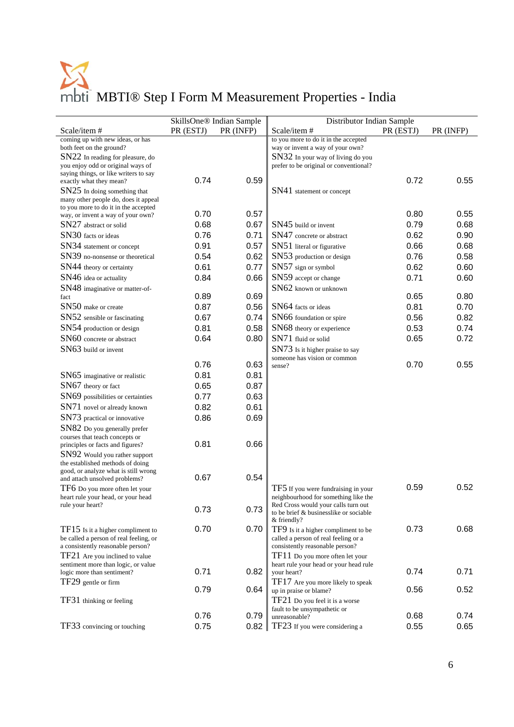|                                                                              |           | SkillsOne <sup>®</sup> Indian Sample | Distributor Indian Sample                                                     |           |           |
|------------------------------------------------------------------------------|-----------|--------------------------------------|-------------------------------------------------------------------------------|-----------|-----------|
| Scale/item#                                                                  | PR (ESTJ) | PR (INFP)                            | Scale/item#                                                                   | PR (ESTJ) | PR (INFP) |
| coming up with new ideas, or has                                             |           |                                      | to you more to do it in the accepted                                          |           |           |
| both feet on the ground?                                                     |           |                                      | way or invent a way of your own?                                              |           |           |
| $SN22$ In reading for pleasure, do<br>you enjoy odd or original ways of      |           |                                      | SN32 In your way of living do you<br>prefer to be original or conventional?   |           |           |
| saying things, or like writers to say                                        |           |                                      |                                                                               |           |           |
| exactly what they mean?                                                      | 0.74      | 0.59                                 |                                                                               | 0.72      | 0.55      |
| $SN25$ In doing something that                                               |           |                                      | SN41 statement or concept                                                     |           |           |
| many other people do, does it appeal<br>to you more to do it in the accepted |           |                                      |                                                                               |           |           |
| way, or invent a way of your own?                                            | 0.70      | 0.57                                 |                                                                               | 0.80      | 0.55      |
| SN27 abstract or solid                                                       | 0.68      | 0.67                                 | SN45 build or invent                                                          | 0.79      | 0.68      |
| SN30 facts or ideas                                                          | 0.76      | 0.71                                 | SN47 concrete or abstract                                                     | 0.62      | 0.90      |
| SN34 statement or concept                                                    | 0.91      | 0.57                                 | SN51 literal or figurative                                                    | 0.66      | 0.68      |
| SN39 no-nonsense or theoretical                                              | 0.54      | 0.62                                 | SN53 production or design                                                     | 0.76      | 0.58      |
| SN44 theory or certainty                                                     | 0.61      | 0.77                                 | SN57 sign or symbol                                                           | 0.62      | 0.60      |
| SN46 idea or actuality                                                       | 0.84      | 0.66                                 | SN59 accept or change                                                         | 0.71      | 0.60      |
| SN48 imaginative or matter-of-                                               |           |                                      | SN62 known or unknown                                                         |           |           |
| fact                                                                         | 0.89      | 0.69                                 |                                                                               | 0.65      | 0.80      |
| SN50 make or create                                                          | 0.87      | 0.56                                 | SN64 facts or ideas                                                           | 0.81      | 0.70      |
| SN52 sensible or fascinating                                                 | 0.67      | 0.74                                 | SN66 foundation or spire                                                      | 0.56      | 0.82      |
| SN54 production or design                                                    | 0.81      | 0.58                                 | SN68 theory or experience                                                     | 0.53      | 0.74      |
| SN60 concrete or abstract                                                    | 0.64      | 0.80                                 | SN71 fluid or solid                                                           | 0.65      | 0.72      |
| SN63 build or invent                                                         |           |                                      | SN73 Is it higher praise to say                                               |           |           |
|                                                                              |           |                                      | someone has vision or common                                                  |           |           |
|                                                                              | 0.76      | 0.63                                 | sense?                                                                        | 0.70      | 0.55      |
| SN65 imaginative or realistic                                                | 0.81      | 0.81                                 |                                                                               |           |           |
| $SN67$ theory or fact                                                        | 0.65      | 0.87                                 |                                                                               |           |           |
| SN69 possibilities or certainties                                            | 0.77      | 0.63                                 |                                                                               |           |           |
| SN71 novel or already known                                                  | 0.82      | 0.61                                 |                                                                               |           |           |
| SN73 practical or innovative                                                 | 0.86      | 0.69                                 |                                                                               |           |           |
| SN82 Do you generally prefer                                                 |           |                                      |                                                                               |           |           |
| courses that teach concepts or                                               |           |                                      |                                                                               |           |           |
| principles or facts and figures?                                             | 0.81      | 0.66                                 |                                                                               |           |           |
| SN92 Would you rather support<br>the established methods of doing            |           |                                      |                                                                               |           |           |
| good, or analyze what is still wrong                                         |           |                                      |                                                                               |           |           |
| and attach unsolved problems?                                                | 0.67      | 0.54                                 |                                                                               |           |           |
| TF6 Do you more often let your                                               |           |                                      | TF5 If you were fundraising in your                                           | 0.59      | 0.52      |
| heart rule your head, or your head                                           |           |                                      | neighbourhood for something like the                                          |           |           |
| rule your heart?                                                             | 0.73      | 0.73                                 | Red Cross would your calls turn out<br>to be brief & businesslike or sociable |           |           |
|                                                                              |           |                                      | & friendly?                                                                   |           |           |
| $TF15$ Is it a higher compliment to                                          | 0.70      | 0.70                                 | TF9 Is it a higher compliment to be                                           | 0.73      | 0.68      |
| be called a person of real feeling, or                                       |           |                                      | called a person of real feeling or a                                          |           |           |
| a consistently reasonable person?                                            |           |                                      | consistently reasonable person?                                               |           |           |
| TF21 Are you inclined to value<br>sentiment more than logic, or value        |           |                                      | TF11 Do you more often let your<br>heart rule your head or your head rule     |           |           |
| logic more than sentiment?                                                   | 0.71      | 0.82                                 | your heart?                                                                   | 0.74      | 0.71      |
| TF29 gentle or firm                                                          |           |                                      | TF17 Are you more likely to speak                                             |           |           |
|                                                                              | 0.79      | 0.64                                 | up in praise or blame?                                                        | 0.56      | 0.52      |
| TF31 thinking or feeling                                                     |           |                                      | TF21 Do you feel it is a worse                                                |           |           |
|                                                                              | 0.76      | 0.79                                 | fault to be unsympathetic or<br>unreasonable?                                 | 0.68      | 0.74      |
| TF33 convincing or touching                                                  | 0.75      | 0.82                                 | TF23 If you were considering a                                                | 0.55      | 0.65      |
|                                                                              |           |                                      |                                                                               |           |           |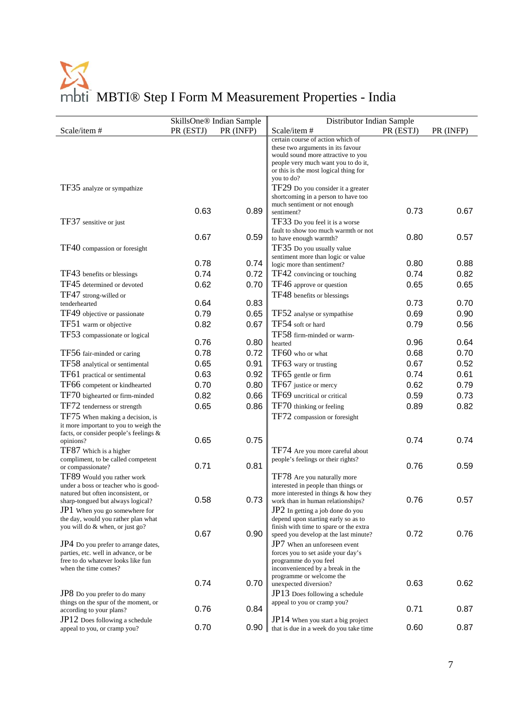|                                                                             |           | SkillsOne® Indian Sample | Distributor Indian Sample                                                 |           |           |
|-----------------------------------------------------------------------------|-----------|--------------------------|---------------------------------------------------------------------------|-----------|-----------|
| Scale/item#                                                                 | PR (ESTJ) | PR (INFP)                | Scale/item#                                                               | PR (ESTJ) | PR (INFP) |
|                                                                             |           |                          | certain course of action which of                                         |           |           |
|                                                                             |           |                          | these two arguments in its favour                                         |           |           |
|                                                                             |           |                          | would sound more attractive to you<br>people very much want you to do it, |           |           |
|                                                                             |           |                          | or this is the most logical thing for                                     |           |           |
|                                                                             |           |                          | you to do?                                                                |           |           |
| TF35 analyze or sympathize                                                  |           |                          | TF29 Do you consider it a greater                                         |           |           |
|                                                                             |           |                          | shortcoming in a person to have too                                       |           |           |
|                                                                             | 0.63      | 0.89                     | much sentiment or not enough<br>sentiment?                                | 0.73      | 0.67      |
| TF37 sensitive or just                                                      |           |                          | TF33 Do you feel it is a worse                                            |           |           |
|                                                                             |           |                          | fault to show too much warmth or not                                      |           |           |
|                                                                             | 0.67      | 0.59                     | to have enough warmth?                                                    | 0.80      | 0.57      |
| TF40 compassion or foresight                                                |           |                          | TF35 Do you usually value                                                 |           |           |
|                                                                             |           |                          | sentiment more than logic or value                                        |           |           |
|                                                                             | 0.78      | 0.74                     | logic more than sentiment?                                                | 0.80      | 0.88      |
| TF43 benefits or blessings                                                  | 0.74      | 0.72                     | TF42 convincing or touching                                               | 0.74      | 0.82      |
| TF45 determined or devoted                                                  | 0.62      | 0.70                     | TF46 approve or question                                                  | 0.65      | 0.65      |
| TF47 strong-willed or                                                       |           |                          | TF48 benefits or blessings                                                |           |           |
| tenderhearted                                                               | 0.64      | 0.83                     |                                                                           | 0.73      | 0.70      |
| TF49 objective or passionate                                                | 0.79      | 0.65                     | TF52 analyse or sympathise                                                | 0.69      | 0.90      |
| TF51 warm or objective                                                      | 0.82      | 0.67                     | TF54 soft or hard                                                         | 0.79      | 0.56      |
| TF53 compassionate or logical                                               | 0.76      | 0.80                     | TF58 firm-minded or warm-                                                 | 0.96      | 0.64      |
|                                                                             |           |                          | hearted                                                                   |           |           |
| TF56 fair-minded or caring                                                  | 0.78      | 0.72                     | TF60 who or what                                                          | 0.68      | 0.70      |
| TF58 analytical or sentimental                                              | 0.65      | 0.91                     | TF63 wary or trusting                                                     | 0.67      | 0.52      |
| TF61 practical or sentimental                                               | 0.63      | 0.92                     | TF65 gentle or firm                                                       | 0.74      | 0.61      |
| TF66 competent or kindhearted                                               | 0.70      | 0.80                     | TF67 justice or mercy                                                     | 0.62      | 0.79      |
| TF70 bighearted or firm-minded                                              | 0.82      | 0.66                     | TF69 uncritical or critical                                               | 0.59      | 0.73      |
| TF72 tenderness or strength                                                 | 0.65      | 0.86                     | TF70 thinking or feeling                                                  | 0.89      | 0.82      |
| TF75 When making a decision, is                                             |           |                          | TF72 compassion or foresight                                              |           |           |
| it more important to you to weigh the                                       |           |                          |                                                                           |           |           |
| facts, or consider people's feelings &<br>opinions?                         | 0.65      | 0.75                     |                                                                           | 0.74      | 0.74      |
| TF87 Which is a higher                                                      |           |                          | TF74 Are you more careful about                                           |           |           |
| compliment, to be called competent                                          |           |                          | people's feelings or their rights?                                        |           |           |
| or compassionate?                                                           | 0.71      | 0.81                     |                                                                           | 0.76      | 0.59      |
| TF89 Would you rather work                                                  |           |                          | TF78 Are you naturally more                                               |           |           |
| under a boss or teacher who is good-                                        |           |                          | interested in people than things or                                       |           |           |
| natured but often inconsistent, or<br>sharp-tongued but always logical?     | 0.58      | 0.73                     | more interested in things & how they<br>work than in human relationships? | 0.76      | 0.57      |
| $JP1$ When you go somewhere for                                             |           |                          | JP2 In getting a job done do you                                          |           |           |
| the day, would you rather plan what                                         |           |                          | depend upon starting early so as to                                       |           |           |
| you will do & when, or just go?                                             |           |                          | finish with time to spare or the extra                                    |           |           |
|                                                                             | 0.67      | 0.90                     | speed you develop at the last minute?                                     | 0.72      | 0.76      |
| JP4 Do you prefer to arrange dates,<br>parties, etc. well in advance, or be |           |                          | JP7 When an unforeseen event<br>forces you to set aside your day's        |           |           |
| free to do whatever looks like fun                                          |           |                          | programme do you feel                                                     |           |           |
| when the time comes?                                                        |           |                          | inconvenienced by a break in the                                          |           |           |
|                                                                             | 0.74      | 0.70                     | programme or welcome the                                                  | 0.63      | 0.62      |
| JP8 Do you prefer to do many                                                |           |                          | unexpected diversion?<br>JP13 Does following a schedule                   |           |           |
| things on the spur of the moment, or                                        |           |                          | appeal to you or cramp you?                                               |           |           |
| according to your plans?                                                    | 0.76      | 0.84                     |                                                                           | 0.71      | 0.87      |
| $JP12$ Does following a schedule                                            |           |                          | $JP14$ When you start a big project                                       |           |           |
| appeal to you, or cramp you?                                                | 0.70      | 0.90                     | that is due in a week do you take time                                    | 0.60      | 0.87      |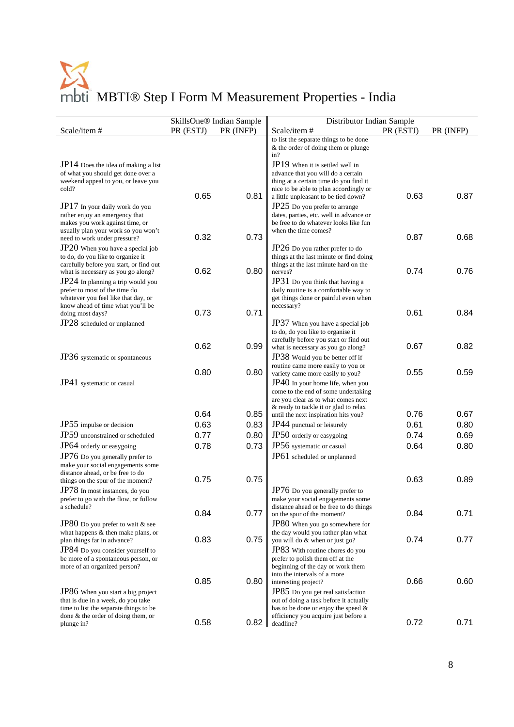|                                                                                                                                                                                        |           | SkillsOne® Indian Sample | Distributor Indian Sample                                                                                                                                                                         |           |           |
|----------------------------------------------------------------------------------------------------------------------------------------------------------------------------------------|-----------|--------------------------|---------------------------------------------------------------------------------------------------------------------------------------------------------------------------------------------------|-----------|-----------|
| Scale/item#                                                                                                                                                                            | PR (ESTJ) | PR (INFP)                | Scale/item#                                                                                                                                                                                       | PR (ESTJ) | PR (INFP) |
|                                                                                                                                                                                        |           |                          | to list the separate things to be done<br>& the order of doing them or plunge<br>in?                                                                                                              |           |           |
| JP14 Does the idea of making a list<br>of what you should get done over a<br>weekend appeal to you, or leave you<br>cold?                                                              | 0.65      | 0.81                     | JP19 When it is settled well in<br>advance that you will do a certain<br>thing at a certain time do you find it<br>nice to be able to plan accordingly or<br>a little unpleasant to be tied down? | 0.63      | 0.87      |
| JP17 In your daily work do you<br>rather enjoy an emergency that<br>makes you work against time, or<br>usually plan your work so you won't                                             |           |                          | JP25 Do you prefer to arrange<br>dates, parties, etc. well in advance or<br>be free to do whatever looks like fun<br>when the time comes?                                                         |           |           |
| need to work under pressure?<br>JP20 When you have a special job<br>to do, do you like to organize it<br>carefully before you start, or find out                                       | 0.32      | 0.73                     | JP26 Do you rather prefer to do<br>things at the last minute or find doing<br>things at the last minute hard on the                                                                               | 0.87      | 0.68      |
| what is necessary as you go along?<br>$JP24$ In planning a trip would you<br>prefer to most of the time do<br>whatever you feel like that day, or<br>know ahead of time what you'll be | 0.62      | 0.80                     | nerves?<br>JP31 Do you think that having a<br>daily routine is a comfortable way to<br>get things done or painful even when<br>necessary?                                                         | 0.74      | 0.76      |
| doing most days?<br>JP28 scheduled or unplanned                                                                                                                                        | 0.73      | 0.71                     | JP37 When you have a special job<br>to do, do you like to organise it<br>carefully before you start or find out                                                                                   | 0.61      | 0.84      |
| JP36 systematic or spontaneous                                                                                                                                                         | 0.62      | 0.99                     | what is necessary as you go along?<br>JP38 Would you be better off if<br>routine came more easily to you or                                                                                       | 0.67      | 0.82      |
| JP41 systematic or casual                                                                                                                                                              | 0.80      | 0.80                     | variety came more easily to you?<br>$JP40$ In your home life, when you<br>come to the end of some undertaking<br>are you clear as to what comes next<br>& ready to tackle it or glad to relax     | 0.55      | 0.59      |
|                                                                                                                                                                                        | 0.64      | 0.85                     | until the next inspiration hits you?                                                                                                                                                              | 0.76      | 0.67      |
| JP55 impulse or decision                                                                                                                                                               | 0.63      | 0.83                     | JP44 punctual or leisurely                                                                                                                                                                        | 0.61      | 0.80      |
| JP59 unconstrained or scheduled                                                                                                                                                        | 0.77      | 0.80                     | JP50 orderly or easygoing                                                                                                                                                                         | 0.74      | 0.69      |
| JP64 orderly or easygoing                                                                                                                                                              | 0.78      | 0.73                     | JP56 systematic or casual                                                                                                                                                                         | 0.64      | 0.80      |
| JP76 Do you generally prefer to<br>make your social engagements some<br>distance ahead, or be free to do                                                                               |           |                          | JP61 scheduled or unplanned                                                                                                                                                                       |           |           |
| things on the spur of the moment?<br>JP78 In most instances, do you<br>prefer to go with the flow, or follow                                                                           | 0.75      | 0.75                     | JP76 Do you generally prefer to<br>make your social engagements some                                                                                                                              | 0.63      | 0.89      |
| a schedule?<br>JP80 Do you prefer to wait & see<br>what happens & then make plans, or                                                                                                  | 0.84      | 0.77                     | distance ahead or be free to do things<br>on the spur of the moment?<br>JP80 When you go somewhere for<br>the day would you rather plan what                                                      | 0.84      | 0.71      |
| plan things far in advance?<br>JP84 Do you consider yourself to<br>be more of a spontaneous person, or<br>more of an organized person?                                                 | 0.83      | 0.75                     | you will do & when or just go?<br>JP83 With routine chores do you<br>prefer to polish them off at the<br>beginning of the day or work them<br>into the intervals of a more                        | 0.74      | 0.77      |
| JP86 When you start a big project<br>that is due in a week, do you take<br>time to list the separate things to be<br>done $&$ the order of doing them, or                              | 0.85      | 0.80                     | interesting project?<br>JP85 Do you get real satisfaction<br>out of doing a task before it actually<br>has to be done or enjoy the speed $\&$<br>efficiency you acquire just before a             | 0.66      | 0.60      |
| plunge in?                                                                                                                                                                             | 0.58      | 0.82                     | deadline?                                                                                                                                                                                         | 0.72      | 0.71      |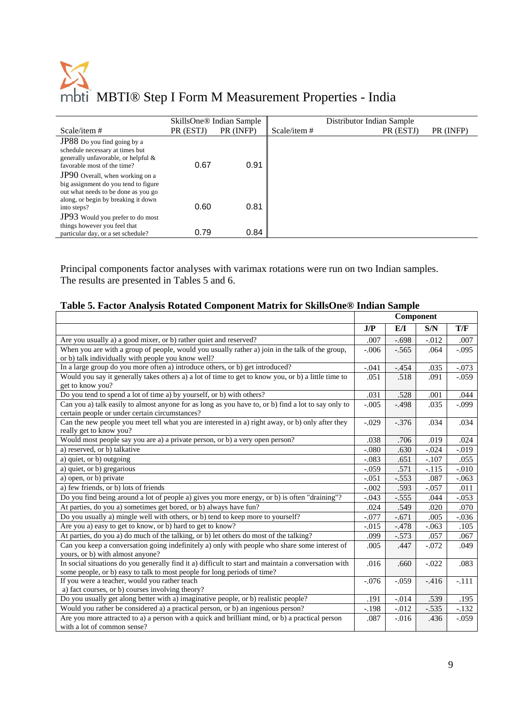|                                                                                                                                                              | SkillsOne <sup>®</sup> Indian Sample |           |                | Distributor Indian Sample |           |
|--------------------------------------------------------------------------------------------------------------------------------------------------------------|--------------------------------------|-----------|----------------|---------------------------|-----------|
| Scale/item#                                                                                                                                                  | PR (ESTJ)                            | PR (INFP) | Scale/item $#$ | PR (ESTJ)                 | PR (INFP) |
| JP88 Do you find going by a<br>schedule necessary at times but<br>generally unfavorable, or helpful &<br>favorable most of the time?                         | 0.67                                 | 0.91      |                |                           |           |
| <b>JP90</b> Overall, when working on a<br>big assignment do you tend to figure<br>out what needs to be done as you go<br>along, or begin by breaking it down |                                      |           |                |                           |           |
| into steps?<br>JP93 Would you prefer to do most                                                                                                              | 0.60                                 | 0.81      |                |                           |           |
| things however you feel that<br>particular day, or a set schedule?                                                                                           | 0.79                                 | 0.84      |                |                           |           |

Principal components factor analyses with varimax rotations were run on two Indian samples. The results are presented in Tables 5 and 6.

#### **Table 5. Factor Analysis Rotated Component Matrix for SkillsOne® Indian Sample**

|                                                                                                                                                                                  |         | Component |          |          |
|----------------------------------------------------------------------------------------------------------------------------------------------------------------------------------|---------|-----------|----------|----------|
|                                                                                                                                                                                  | J/P     | EЛ        | S/N      | T/F      |
| Are you usually a) a good mixer, or b) rather quiet and reserved?                                                                                                                | .007    | $-.698$   | $-0.012$ | .007     |
| When you are with a group of people, would you usually rather a) join in the talk of the group,<br>or b) talk individually with people you know well?                            | $-.006$ | $-.565$   | .064     | $-.095$  |
| In a large group do you more often a) introduce others, or b) get introduced?                                                                                                    | $-.041$ | $-.454$   | .035     | $-.073$  |
| Would you say it generally takes others a) a lot of time to get to know you, or b) a little time to<br>get to know you?                                                          | .051    | .518      | .091     | $-.059$  |
| Do you tend to spend a lot of time a) by yourself, or b) with others?                                                                                                            | .031    | .528      | .001     | .044     |
| Can you a) talk easily to almost anyone for as long as you have to, or b) find a lot to say only to<br>certain people or under certain circumstances?                            | $-.005$ | $-.498$   | .035     | $-.099$  |
| Can the new people you meet tell what you are interested in a) right away, or b) only after they<br>really get to know you?                                                      | $-.029$ | $-.376$   | .034     | .034     |
| Would most people say you are a) a private person, or b) a very open person?                                                                                                     | .038    | .706      | .019     | .024     |
| a) reserved, or b) talkative                                                                                                                                                     | $-.080$ | .630      | $-.024$  | $-0.019$ |
| a) quiet, or b) outgoing                                                                                                                                                         | $-.083$ | .651      | $-.107$  | .055     |
| a) quiet, or b) gregarious                                                                                                                                                       | $-.059$ | .571      | $-.115$  | $-.010$  |
| a) open, or b) private                                                                                                                                                           | $-.051$ | $-.553$   | .087     | $-0.063$ |
| a) few friends, or b) lots of friends                                                                                                                                            | $-.002$ | .593      | $-.057$  | .011     |
| Do you find being around a lot of people a) gives you more energy, or b) is often "draining"?                                                                                    | $-.043$ | $-.555$   | .044     | $-.053$  |
| At parties, do you a) sometimes get bored, or b) always have fun?                                                                                                                | .024    | .549      | .020     | .070     |
| Do you usually a) mingle well with others, or b) tend to keep more to yourself?                                                                                                  | $-.077$ | $-.671$   | .005     | $-.036$  |
| Are you a) easy to get to know, or b) hard to get to know?                                                                                                                       | $-.015$ | $-.478$   | $-0.063$ | .105     |
| At parties, do you a) do much of the talking, or b) let others do most of the talking?                                                                                           | .099    | $-.573$   | .057     | .067     |
| Can you keep a conversation going indefinitely a) only with people who share some interest of<br>yours, or b) with almost anyone?                                                | .005    | .447      | $-.072$  | .049     |
| In social situations do you generally find it a) difficult to start and maintain a conversation with<br>some people, or b) easy to talk to most people for long periods of time? | .016    | .660      | $-.022$  | .083     |
| If you were a teacher, would you rather teach<br>a) fact courses, or b) courses involving theory?                                                                                | $-.076$ | $-.059$   | $-416$   | $-.111$  |
| Do you usually get along better with a) imaginative people, or b) realistic people?                                                                                              | .191    | $-.014$   | .539     | .195     |
| Would you rather be considered a) a practical person, or b) an ingenious person?                                                                                                 | $-.198$ | $-0.012$  | $-0.535$ | $-.132$  |
| Are you more attracted to a) a person with a quick and brilliant mind, or b) a practical person<br>with a lot of common sense?                                                   | .087    | $-0.016$  | .436     | $-0.059$ |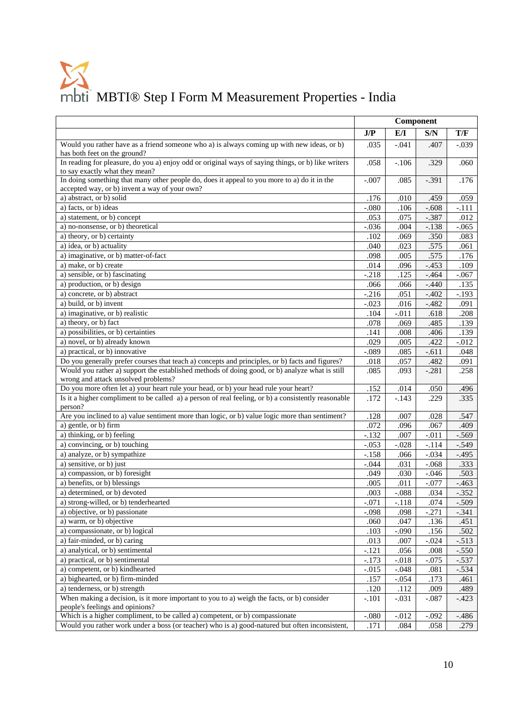|                                                                                                                                              | Component       |         |                 |                 |
|----------------------------------------------------------------------------------------------------------------------------------------------|-----------------|---------|-----------------|-----------------|
|                                                                                                                                              | J/P             | E/I     | S/N             | T/F             |
| Would you rather have as a friend someone who a) is always coming up with new ideas, or b)                                                   | .035            | $-.041$ | .407            | $-.039$         |
| has both feet on the ground?                                                                                                                 |                 |         |                 |                 |
| In reading for pleasure, do you a) enjoy odd or original ways of saying things, or b) like writers<br>to say exactly what they mean?         | .058            | $-.106$ | .329            | .060            |
| In doing something that many other people do, does it appeal to you more to a) do it in the<br>accepted way, or b) invent a way of your own? | $-.007$         | .085    | $-.391$         | .176            |
| a) abstract, or b) solid                                                                                                                     | .176            | .010    | .459            | .059            |
| a) facts, or b) ideas                                                                                                                        | $-.080$         | .106    | $-.608$         | $-.111$         |
| a) statement, or b) concept                                                                                                                  | .053            | .075    | $-0.387$        | .012            |
| a) no-nonsense, or b) theoretical                                                                                                            | $-.036$         | .004    | $-.138$         | $-.065$         |
| a) theory, or b) certainty                                                                                                                   | .102            | .069    | .350            | .083            |
| a) idea, or b) actuality                                                                                                                     | .040            | .023    | .575            | .061            |
| a) imaginative, or b) matter-of-fact                                                                                                         | .098            | .005    | .575            | .176            |
| a) make, or b) create                                                                                                                        | .014            | .096    | $-.453$         | .109            |
| a) sensible, or b) fascinating                                                                                                               | $-.218$         | .125    | $-0.464$        | $-.067$         |
| a) production, or b) design                                                                                                                  | .066            | .066    | $-.440$         |                 |
| a) concrete, or b) abstract                                                                                                                  | $-.216$         | .051    | $-.402$         | .135<br>$-.193$ |
| a) build, or b) invent                                                                                                                       |                 |         |                 |                 |
|                                                                                                                                              | $-.023$<br>.104 | .016    | $-.482$<br>.618 | .091<br>.208    |
| a) imaginative, or b) realistic                                                                                                              |                 | $-.011$ |                 |                 |
| a) theory, or b) fact                                                                                                                        | .078            | .069    | .485            | .139            |
| a) possibilities, or b) certainties                                                                                                          | .141            | .008    | .406            | .139            |
| a) novel, or b) already known                                                                                                                | .029            | .005    | .422            | $-0.012$        |
| a) practical, or b) innovative                                                                                                               | $-.089$         | .085    | $-.611$         | .048            |
| Do you generally prefer courses that teach a) concepts and principles, or b) facts and figures?                                              | .018            | .057    | .482            | .091            |
| Would you rather a) support the established methods of doing good, or b) analyze what is still<br>wrong and attack unsolved problems?        | .085            | .093    | $-.281$         | .258            |
| Do you more often let a) your heart rule your head, or b) your head rule your heart?                                                         | .152            | .014    | .050            | .496            |
| Is it a higher compliment to be called a) a person of real feeling, or b) a consistently reasonable                                          | .172            | $-143$  | .229            | .335            |
| person?                                                                                                                                      |                 |         |                 |                 |
| Are you inclined to a) value sentiment more than logic, or b) value logic more than sentiment?                                               | .128            | .007    | .028            | .547            |
| a) gentle, or b) firm                                                                                                                        | .072            | .096    | .067            | .409            |
| a) thinking, or b) feeling                                                                                                                   | $-.132$         | .007    | $-.011$         | $-.569$         |
| a) convincing, or b) touching                                                                                                                | $-.053$         | $-.028$ | $-.114$         | $-.549$         |
| a) analyze, or b) sympathize                                                                                                                 | $-.158$         | .066    | $-.034$         | $-495$          |
| a) sensitive, or b) just                                                                                                                     | $-.044$         | .031    | $-.068$         | .333            |
| a) compassion, or b) foresight                                                                                                               | .049            | .030    | $-.046$         | .503            |
| a) benefits, or b) blessings                                                                                                                 | .005            | .011    | $-0.077$        | $-463$          |
| a) determined, or b) devoted                                                                                                                 | .003            | $-.088$ | .034            | $-0.352$        |
| a) strong-willed, or b) tenderhearted                                                                                                        | $-.071$         | $-.118$ | .074            | $-.509$         |
| a) objective, or b) passionate                                                                                                               | $-.098$         | .098    | $-.271$         | $-.341$         |
| a) warm, or b) objective                                                                                                                     | .060            | .047    | .136            | .451            |
| a) compassionate, or b) logical                                                                                                              | .103            | $-.090$ | .156            | .502            |
| a) fair-minded, or b) caring                                                                                                                 | .013            | .007    | $-.024$         | $-.513$         |
| a) analytical, or b) sentimental                                                                                                             | $-.121$         | .056    | .008            | $-.550$         |
| a) practical, or b) sentimental                                                                                                              | $-.173$         | $-.018$ | $-0.075$        | $-.537$         |
| a) competent, or b) kindhearted                                                                                                              | $-.015$         | $-.048$ | .081            | $-.534$         |
| a) bighearted, or b) firm-minded                                                                                                             | .157            | $-.054$ | .173            | .461            |
| a) tenderness, or b) strength                                                                                                                | .120            | .112    | .009            | .489            |
| When making a decision, is it more important to you to a) weigh the facts, or b) consider<br>people's feelings and opinions?                 | $-.101$         | $-.031$ | $-.087$         | $-423$          |
| Which is a higher compliment, to be called a) competent, or b) compassionate                                                                 | $-.080$         | $-.012$ | $-.092$         | $-486$          |
| Would you rather work under a boss (or teacher) who is a) good-natured but often inconsistent,                                               | .171            | .084    | .058            | .279            |
|                                                                                                                                              |                 |         |                 |                 |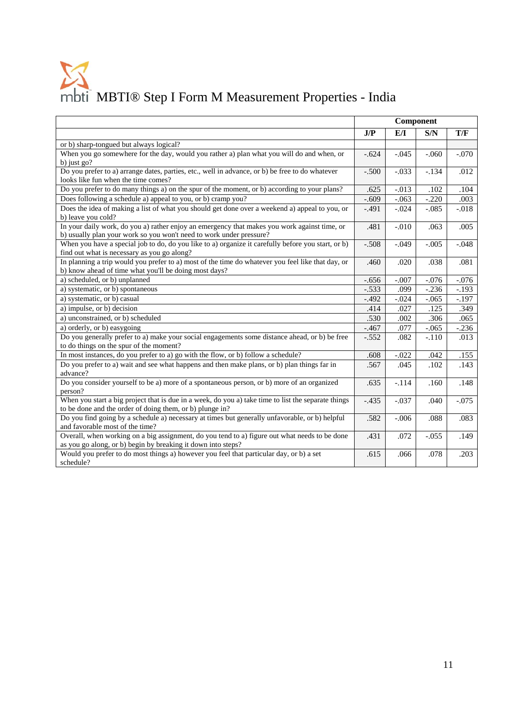|                                                                                                                                                                     | Component         |         |         |         |
|---------------------------------------------------------------------------------------------------------------------------------------------------------------------|-------------------|---------|---------|---------|
|                                                                                                                                                                     | J/P<br>E/I<br>S/N |         |         | T/F     |
| or b) sharp-tongued but always logical?                                                                                                                             |                   |         |         |         |
| When you go somewhere for the day, would you rather a) plan what you will do and when, or<br>b) just $go?$                                                          | $-.624$           | $-.045$ | $-.060$ | $-.070$ |
| Do you prefer to a) arrange dates, parties, etc., well in advance, or b) be free to do whatever<br>looks like fun when the time comes?                              | $-.500$           | $-.033$ | $-.134$ | .012    |
| Do you prefer to do many things a) on the spur of the moment, or b) according to your plans?                                                                        | .625              | $-.013$ | .102    | .104    |
| Does following a schedule a) appeal to you, or b) cramp you?                                                                                                        | $-.609$           | $-.063$ | $-.220$ | .003    |
| Does the idea of making a list of what you should get done over a weekend a) appeal to you, or<br>b) leave you cold?                                                | $-.491$           | $-.024$ | $-.085$ | $-.018$ |
| In your daily work, do you a) rather enjoy an emergency that makes you work against time, or<br>b) usually plan your work so you won't need to work under pressure? | .481              | $-.010$ | .063    | .005    |
| When you have a special job to do, do you like to a) organize it carefully before you start, or b)<br>find out what is necessary as you go along?                   | $-.508$           | $-.049$ | $-.005$ | $-.048$ |
| In planning a trip would you prefer to a) most of the time do whatever you feel like that day, or<br>b) know ahead of time what you'll be doing most days?          | .460              | .020    | .038    | .081    |
| a) scheduled, or b) unplanned                                                                                                                                       | $-.656$           | $-.007$ | $-.076$ | $-.076$ |
| a) systematic, or b) spontaneous                                                                                                                                    | $-.533$           | .099    | $-.236$ | $-.193$ |
| a) systematic, or b) casual                                                                                                                                         | $-.492$           | $-.024$ | $-.065$ | $-197$  |
| a) impulse, or b) decision                                                                                                                                          | .414              | .027    | .125    | .349    |
| a) unconstrained, or b) scheduled                                                                                                                                   | .530              | .002    | .306    | .065    |
| a) orderly, or b) easygoing                                                                                                                                         | $-.467$           | .077    | $-.065$ | $-.236$ |
| Do you generally prefer to a) make your social engagements some distance ahead, or b) be free<br>to do things on the spur of the moment?                            | $-.552$           | .082    | $-.110$ | .013    |
| In most instances, do you prefer to a) go with the flow, or b) follow a schedule?                                                                                   | .608              | $-.022$ | .042    | .155    |
| Do you prefer to a) wait and see what happens and then make plans, or b) plan things far in<br>advance?                                                             | .567              | .045    | .102    | .143    |
| Do you consider yourself to be a) more of a spontaneous person, or b) more of an organized<br>person?                                                               | .635              | $-.114$ | .160    | .148    |
| When you start a big project that is due in a week, do you a) take time to list the separate things<br>to be done and the order of doing them, or b) plunge in?     | $-.435$           | $-.037$ | .040    | $-.075$ |
| Do you find going by a schedule a) necessary at times but generally unfavorable, or b) helpful<br>and favorable most of the time?                                   | .582              | $-.006$ | .088    | .083    |
| Overall, when working on a big assignment, do you tend to a) figure out what needs to be done<br>as you go along, or b) begin by breaking it down into steps?       | .431              | .072    | $-.055$ | .149    |
| Would you prefer to do most things a) however you feel that particular day, or b) a set<br>schedule?                                                                | .615              | .066    | .078    | .203    |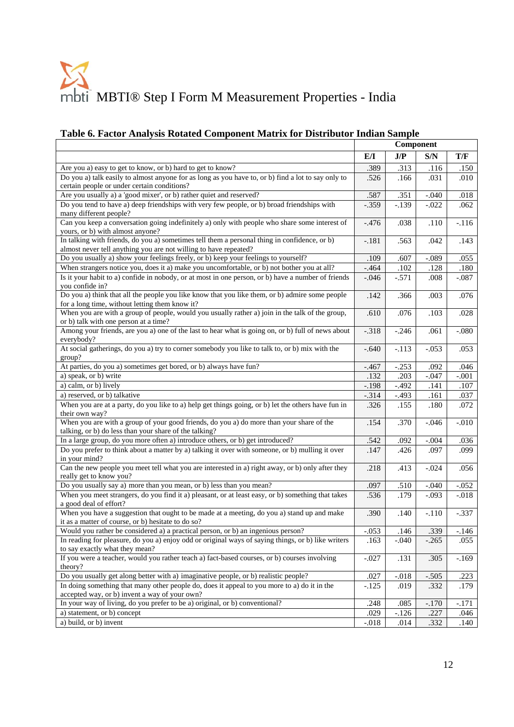#### **Table 6. Factor Analysis Rotated Component Matrix for Distributor Indian Sample**

|                                                                                                                                                                  | Component |          |         |          |
|------------------------------------------------------------------------------------------------------------------------------------------------------------------|-----------|----------|---------|----------|
|                                                                                                                                                                  | E/I       | J/P      | S/N     | T/F      |
| Are you a) easy to get to know, or b) hard to get to know?                                                                                                       | .389      | .313     | .116    | .150     |
| Do you a) talk easily to almost anyone for as long as you have to, or b) find a lot to say only to<br>certain people or under certain conditions?                | .526      | .166     | .031    | .010     |
| Are you usually a) a 'good mixer', or b) rather quiet and reserved?                                                                                              | .587      | .351     | $-.040$ | .018     |
| Do you tend to have a) deep friendships with very few people, or b) broad friendships with<br>many different people?                                             | $-.359$   | $-.139$  | $-.022$ | .062     |
| Can you keep a conversation going indefinitely a) only with people who share some interest of<br>yours, or b) with almost anyone?                                | $-.476$   | .038     | .110    | $-116$   |
| In talking with friends, do you a) sometimes tell them a personal thing in confidence, or b)<br>almost never tell anything you are not willing to have repeated? | $-.181$   | .563     | .042    | .143     |
| Do you usually a) show your feelings freely, or b) keep your feelings to yourself?                                                                               | .109      | .607     | $-.089$ | .055     |
| When strangers notice you, does it a) make you uncomfortable, or b) not bother you at all?                                                                       | $-.464$   | $.102\,$ | .128    | .180     |
| Is it your habit to a) confide in nobody, or at most in one person, or b) have a number of friends<br>you confide in?                                            | $-.046$   | $-.571$  | .008    | $-.087$  |
| Do you a) think that all the people you like know that you like them, or b) admire some people<br>for a long time, without letting them know it?                 | .142      | .366     | .003    | .076     |
| When you are with a group of people, would you usually rather a) join in the talk of the group,<br>or b) talk with one person at a time?                         | .610      | .076     | .103    | .028     |
| Among your friends, are you a) one of the last to hear what is going on, or b) full of news about<br>everybody?                                                  | $-.318$   | $-.246$  | .061    | $-080$   |
| At social gatherings, do you a) try to corner somebody you like to talk to, or b) mix with the<br>group?                                                         | $-.640$   | $-.113$  | $-.053$ | .053     |
| At parties, do you a) sometimes get bored, or b) always have fun?                                                                                                | $-.467$   | $-.253$  | .092    | .046     |
| a) speak, or b) write                                                                                                                                            | .132      | .203     | $-.047$ | $-.001$  |
| a) calm, or b) lively                                                                                                                                            | $-.198$   | $-.492$  | .141    | .107     |
| a) reserved, or b) talkative                                                                                                                                     | $-.314$   | $-.493$  | .161    | .037     |
| When you are at a party, do you like to a) help get things going, or b) let the others have fun in<br>their own way?                                             | .326      | .155     | .180    | .072     |
| When you are with a group of your good friends, do you a) do more than your share of the<br>talking, or b) do less than your share of the talking?               | .154      | .370     | $-.046$ | $-0.010$ |
| In a large group, do you more often a) introduce others, or b) get introduced?                                                                                   | .542      | .092     | $-.004$ | .036     |
| Do you prefer to think about a matter by a) talking it over with someone, or b) mulling it over<br>in your mind?                                                 | .147      | .426     | .097    | .099     |
| Can the new people you meet tell what you are interested in a) right away, or b) only after they<br>really get to know you?                                      | .218      | .413     | $-.024$ | .056     |
| Do you usually say a) more than you mean, or b) less than you mean?                                                                                              | .097      | .510     | $-.040$ | $-.052$  |
| When you meet strangers, do you find it a) pleasant, or at least easy, or b) something that takes<br>a good deal of effort?                                      | .536      | .179     | $-.093$ | $-.018$  |
| When you have a suggestion that ought to be made at a meeting, do you a) stand up and make<br>it as a matter of course, or b) hesitate to do so?                 | .390      | .140     | $-.110$ | $-.337$  |
| Would you rather be considered a) a practical person, or b) an ingenious person?                                                                                 | $-.053$   | .146     | .339    | $-146$   |
| In reading for pleasure, do you a) enjoy odd or original ways of saying things, or b) like writers                                                               | .163      | $-.040$  | $-.265$ | .055     |
| to say exactly what they mean?                                                                                                                                   |           |          |         |          |
| If you were a teacher, would you rather teach a) fact-based courses, or b) courses involving<br>theory?                                                          | $-.027$   | .131     | .305    | $-169$   |
| Do you usually get along better with a) imaginative people, or b) realistic people?                                                                              | .027      | $-.018$  | $-.505$ | .223     |
| In doing something that many other people do, does it appeal to you more to a) do it in the<br>accepted way, or b) invent a way of your own?                     | $-125$    | .019     | .332    | .179     |
| In your way of living, do you prefer to be a) original, or b) conventional?                                                                                      | .248      | .085     | $-.170$ | $-.171$  |
| a) statement, or b) concept                                                                                                                                      | .029      | $-126$   | .227    | .046     |
| a) build, or b) invent                                                                                                                                           | $-.018$   | .014     | .332    | .140     |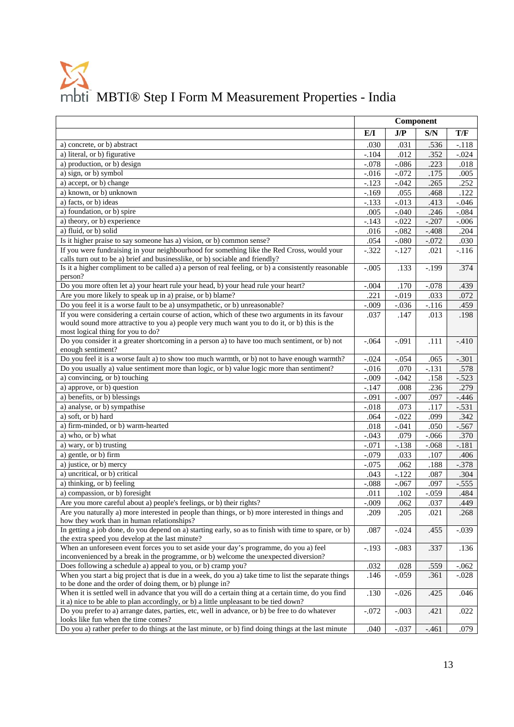|                                                                                                                                                                                               | Component |          |          |          |
|-----------------------------------------------------------------------------------------------------------------------------------------------------------------------------------------------|-----------|----------|----------|----------|
|                                                                                                                                                                                               | E/I       | J/P      | S/N      | T/F      |
| a) concrete, or b) abstract                                                                                                                                                                   | .030      | .031     | .536     | $-.118$  |
| a) literal, or b) figurative                                                                                                                                                                  | $-.104$   | .012     | .352     | $-.024$  |
| a) production, or b) design                                                                                                                                                                   | $-.078$   | $-.086$  | .223     | .018     |
| a) sign, or b) symbol                                                                                                                                                                         | $-0.016$  | $-.072$  | .175     | .005     |
| a) accept, or b) change                                                                                                                                                                       | $-.123$   | $-.042$  | .265     | .252     |
| a) known, or b) unknown                                                                                                                                                                       | $-.169$   | .055     | .468     | .122     |
| a) facts, or b) ideas                                                                                                                                                                         | $-.133$   | $-.013$  | .413     | $-0.046$ |
| a) foundation, or b) spire                                                                                                                                                                    | .005      | $-.040$  | .246     | $-.084$  |
| a) theory, or b) experience                                                                                                                                                                   | $-.143$   | $-.022$  | $-.207$  | $-.006$  |
| a) fluid, or b) solid                                                                                                                                                                         | .016      | $-.082$  | $-.408$  | .204     |
| Is it higher praise to say someone has a) vision, or b) common sense?                                                                                                                         | .054      | $-.080$  | $-.072$  | .030     |
| If you were fundraising in your neighbourhood for something like the Red Cross, would your                                                                                                    | $-.322$   | $-.127$  | .021     | $-116$   |
| calls turn out to be a) brief and businesslike, or b) sociable and friendly?                                                                                                                  |           |          |          |          |
| Is it a higher compliment to be called a) a person of real feeling, or b) a consistently reasonable                                                                                           | $-.005$   | .133     | $-.199$  | .374     |
| person?                                                                                                                                                                                       |           |          |          |          |
| Do you more often let a) your heart rule your head, b) your head rule your heart?                                                                                                             | $-.004$   | .170     | $-.078$  | .439     |
| Are you more likely to speak up in a) praise, or b) blame?                                                                                                                                    | .221      | $-.019$  | .033     | .072     |
| Do you feel it is a worse fault to be a) unsympathetic, or b) unreasonable?                                                                                                                   | $-.009$   | $-.036$  | $-.116$  | .459     |
| If you were considering a certain course of action, which of these two arguments in its favour<br>would sound more attractive to you a) people very much want you to do it, or b) this is the | .037      | .147     | .013     | .198     |
| most logical thing for you to do?<br>Do you consider it a greater shortcoming in a person a) to have too much sentiment, or b) not                                                            | $-.064$   | $-.091$  | .111     | $-410$   |
| enough sentiment?                                                                                                                                                                             |           |          |          |          |
| Do you feel it is a worse fault a) to show too much warmth, or b) not to have enough warmth?                                                                                                  | $-.024$   | $-.054$  | .065     | $-.301$  |
| Do you usually a) value sentiment more than logic, or b) value logic more than sentiment?                                                                                                     | $-.016$   | .070     | $-.131$  | .578     |
| a) convincing, or b) touching                                                                                                                                                                 | $-.009$   | $-.042$  | .158     | $-0.523$ |
| a) approve, or b) question                                                                                                                                                                    | $-.147$   | .008     | .236     | .279     |
| a) benefits, or b) blessings                                                                                                                                                                  | $-.091$   | $-.007$  | .097     | $-0.446$ |
| a) analyse, or b) sympathise                                                                                                                                                                  | $-.018$   | .073     | .117     | $-.531$  |
| a) soft, or b) hard                                                                                                                                                                           | .064      | $-.022$  | .099     | .342     |
| a) firm-minded, or b) warm-hearted                                                                                                                                                            | .018      | $-0.041$ | .050     | $-.567$  |
| a) who, or b) what                                                                                                                                                                            | $-.043$   | .079     | $-0.066$ | .370     |
| a) wary, or b) trusting                                                                                                                                                                       | $-.071$   | $-.138$  | $-.068$  | $-.181$  |
| a) gentle, or b) firm                                                                                                                                                                         | $-.079$   |          | .107     |          |
| a) justice, or b) mercy                                                                                                                                                                       |           | .033     |          | .406     |
|                                                                                                                                                                                               | $-.075$   | .062     | .188     | $-.378$  |
| a) uncritical, or b) critical                                                                                                                                                                 | .043      | $-.122$  | .087     | .304     |
| a) thinking, or b) feeling                                                                                                                                                                    | $-.088$   | $-.067$  | .097     | $-.555$  |
| a) compassion, or b) foresight                                                                                                                                                                | .011      | .102     | $-.059$  | .484     |
| Are you more careful about a) people's feelings, or b) their rights?                                                                                                                          | $-0.09$   | .062     | .037     | .449     |
| Are you naturally a) more interested in people than things, or b) more interested in things and<br>how they work than in human relationships?                                                 | .209      | .205     | .021     | .268     |
| In getting a job done, do you depend on a) starting early, so as to finish with time to spare, or b)<br>the extra speed you develop at the last minute?                                       | .087      | $-.024$  | .455     | $-0.039$ |
| When an unforeseen event forces you to set aside your day's programme, do you a) feel<br>inconvenienced by a break in the programme, or b) welcome the unexpected diversion?                  | $-.193$   | $-.083$  | .337     | .136     |
| Does following a schedule a) appeal to you, or b) cramp you?                                                                                                                                  | .032      | .028     | .559     | $-.062$  |
| When you start a big project that is due in a week, do you a) take time to list the separate things                                                                                           | .146      | $-.059$  | .361     | $-.028$  |
| to be done and the order of doing them, or b) plunge in?                                                                                                                                      |           |          |          |          |
| When it is settled well in advance that you will do a certain thing at a certain time, do you find<br>it a) nice to be able to plan accordingly, or b) a little unpleasant to be tied down?   | .130      | $-.026$  | .425     | .046     |
| Do you prefer to a) arrange dates, parties, etc, well in advance, or b) be free to do whatever<br>looks like fun when the time comes?                                                         | $-.072$   | $-.003$  | .421     | .022     |
| Do you a) rather prefer to do things at the last minute, or b) find doing things at the last minute                                                                                           | .040      | $-.037$  | $-.461$  | .079     |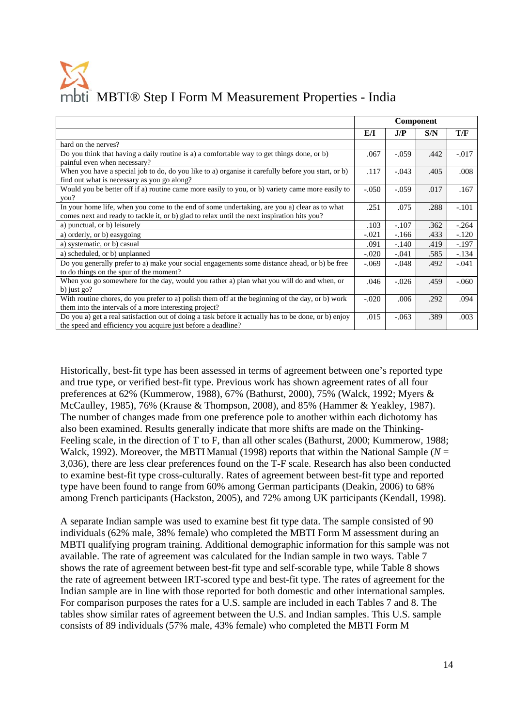|                                                                                                                                                                                             | Component |          |      |         |
|---------------------------------------------------------------------------------------------------------------------------------------------------------------------------------------------|-----------|----------|------|---------|
|                                                                                                                                                                                             | EЛ        | J/P      | S/N  | T/F     |
| hard on the nerves?                                                                                                                                                                         |           |          |      |         |
| Do you think that having a daily routine is a) a comfortable way to get things done, or b)<br>painful even when necessary?                                                                  | .067      | $-0.059$ | .442 | $-.017$ |
| When you have a special job to do, do you like to a) organise it carefully before you start, or b)<br>find out what is necessary as you go along?                                           | .117      | $-.043$  | .405 | .008    |
| Would you be better off if a) routine came more easily to you, or b) variety came more easily to<br>you?                                                                                    | $-.050$   | $-.059$  | .017 | .167    |
| In your home life, when you come to the end of some undertaking, are you a) clear as to what<br>comes next and ready to tackle it, or b) glad to relax until the next inspiration hits you? | .251      | .075     | .288 | $-.101$ |
| a) punctual, or b) leisurely                                                                                                                                                                | .103      | $-.107$  | .362 | $-.264$ |
| a) orderly, or b) easygoing                                                                                                                                                                 | $-.021$   | $-166$   | .433 | $-.120$ |
| a) systematic, or b) casual                                                                                                                                                                 | .091      | $-.140$  | .419 | $-.197$ |
| a) scheduled, or b) unplanned                                                                                                                                                               | $-.020$   | $-.041$  | .585 | $-.134$ |
| Do you generally prefer to a) make your social engagements some distance ahead, or b) be free<br>to do things on the spur of the moment?                                                    |           | $-.048$  | .492 | $-.041$ |
| When you go somewhere for the day, would you rather a) plan what you will do and when, or                                                                                                   |           | $-.026$  | .459 | $-.060$ |
| b) just $go?$                                                                                                                                                                               |           |          |      |         |
| With routine chores, do you prefer to a) polish them off at the beginning of the day, or b) work<br>them into the intervals of a more interesting project?                                  |           | .006     | .292 | .094    |
| Do you a) get a real satisfaction out of doing a task before it actually has to be done, or b) enjoy<br>the speed and efficiency you acquire just before a deadline?                        | .015      | $-.063$  | .389 | .003    |

Historically, best-fit type has been assessed in terms of agreement between one's reported type and true type, or verified best-fit type. Previous work has shown agreement rates of all four preferences at 62% (Kummerow, 1988), 67% (Bathurst, 2000), 75% (Walck, 1992; Myers & McCaulley, 1985), 76% (Krause & Thompson, 2008), and 85% (Hammer & Yeakley, 1987). The number of changes made from one preference pole to another within each dichotomy has also been examined. Results generally indicate that more shifts are made on the Thinking-Feeling scale, in the direction of T to F, than all other scales (Bathurst, 2000; Kummerow, 1988; Walck, 1992). Moreover, the MBTI Manual (1998) reports that within the National Sample (*N* = 3,036), there are less clear preferences found on the T-F scale. Research has also been conducted to examine best-fit type cross-culturally. Rates of agreement between best-fit type and reported type have been found to range from 60% among German participants (Deakin, 2006) to 68% among French participants (Hackston, 2005), and 72% among UK participants (Kendall, 1998).

A separate Indian sample was used to examine best fit type data. The sample consisted of 90 individuals (62% male, 38% female) who completed the MBTI Form M assessment during an MBTI qualifying program training. Additional demographic information for this sample was not available. The rate of agreement was calculated for the Indian sample in two ways. Table 7 shows the rate of agreement between best-fit type and self-scorable type, while Table 8 shows the rate of agreement between IRT-scored type and best-fit type. The rates of agreement for the Indian sample are in line with those reported for both domestic and other international samples. For comparison purposes the rates for a U.S. sample are included in each Tables 7 and 8. The tables show similar rates of agreement between the U.S. and Indian samples. This U.S. sample consists of 89 individuals (57% male, 43% female) who completed the MBTI Form M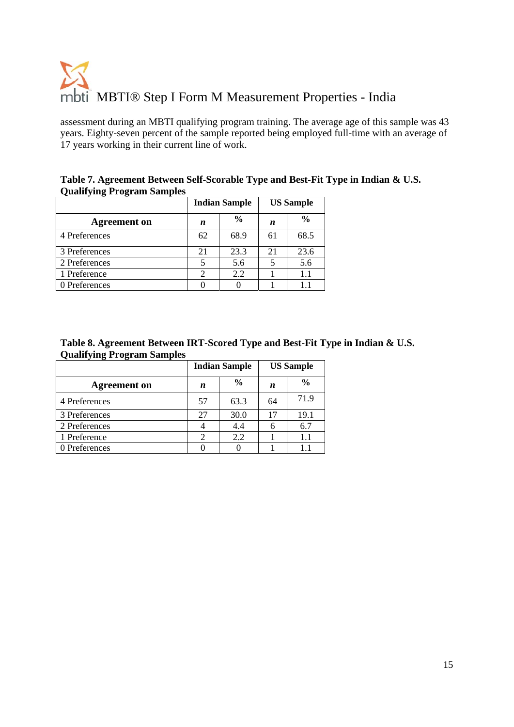assessment during an MBTI qualifying program training. The average age of this sample was 43 years. Eighty-seven percent of the sample reported being employed full-time with an average of 17 years working in their current line of work.

**Table 7. Agreement Between Self-Scorable Type and Best-Fit Type in Indian & U.S. Qualifying Program Samples** 

|                     | <b>Indian Sample</b> |               | <b>US Sample</b> |               |
|---------------------|----------------------|---------------|------------------|---------------|
| <b>Agreement</b> on | n                    | $\frac{0}{0}$ | n                | $\frac{0}{0}$ |
| 4 Preferences       | 62                   | 68.9          | 61               | 68.5          |
| 3 Preferences       | 21                   | 23.3          | 21               | 23.6          |
| 2 Preferences       |                      | 5.6           |                  | 5.6           |
| 1 Preference        |                      | 2.2           |                  | 1.1           |
| 0 Preferences       |                      |               |                  |               |

| Table 8. Agreement Between IRT-Scored Type and Best-Fit Type in Indian & U.S. |  |  |
|-------------------------------------------------------------------------------|--|--|
| <b>Qualifying Program Samples</b>                                             |  |  |

|                     | <b>Indian Sample</b> |               | <b>US Sample</b> |               |
|---------------------|----------------------|---------------|------------------|---------------|
| <b>Agreement</b> on | n                    | $\frac{0}{0}$ | n                | $\frac{0}{0}$ |
| 4 Preferences       | 57                   | 63.3          | 64               | 71.9          |
| 3 Preferences       | 27                   | 30.0          | 17               | 19.1          |
| 2 Preferences       |                      | 4.4           |                  | 6.7           |
| 1 Preference        |                      | 2.2           |                  | 1.1           |
| 0 Preferences       |                      |               |                  | 1.1           |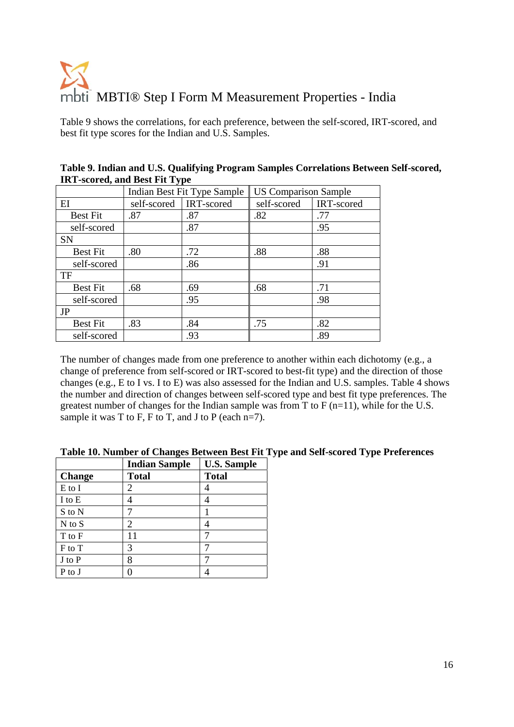Table 9 shows the correlations, for each preference, between the self-scored, IRT-scored, and best fit type scores for the Indian and U.S. Samples.

| $\frac{1}{1000}$ belong $\frac{1}{1000}$ belong $\frac{1}{100}$ |                             |            |                             |            |  |
|-----------------------------------------------------------------|-----------------------------|------------|-----------------------------|------------|--|
|                                                                 | Indian Best Fit Type Sample |            | <b>US Comparison Sample</b> |            |  |
| EI                                                              | self-scored                 | IRT-scored | self-scored                 | IRT-scored |  |
| <b>Best Fit</b>                                                 | .87                         | .87        | .82                         | .77        |  |
| self-scored                                                     |                             | .87        |                             | .95        |  |
| <b>SN</b>                                                       |                             |            |                             |            |  |
| <b>Best Fit</b>                                                 | .80                         | .72        | .88                         | .88        |  |
| self-scored                                                     |                             | .86        |                             | .91        |  |
| TF                                                              |                             |            |                             |            |  |
| <b>Best Fit</b>                                                 | .68                         | .69        | .68                         | .71        |  |
| self-scored                                                     |                             | .95        |                             | .98        |  |
| JP                                                              |                             |            |                             |            |  |
| <b>Best Fit</b>                                                 | .83                         | .84        | .75                         | .82        |  |
| self-scored                                                     |                             | .93        |                             | .89        |  |

**Table 9. Indian and U.S. Qualifying Program Samples Correlations Between Self-scored, IRT-scored, and Best Fit Type** 

The number of changes made from one preference to another within each dichotomy (e.g., a change of preference from self-scored or IRT-scored to best-fit type) and the direction of those changes (e.g., E to I vs. I to E) was also assessed for the Indian and U.S. samples. Table 4 shows the number and direction of changes between self-scored type and best fit type preferences. The greatest number of changes for the Indian sample was from T to  $F (n=11)$ , while for the U.S. sample it was T to F, F to T, and J to P (each  $n=7$ ).

|               | <b>Indian Sample</b> | <b>U.S. Sample</b> |
|---------------|----------------------|--------------------|
| <b>Change</b> | <b>Total</b>         | <b>Total</b>       |
| E to I        |                      |                    |
| I to E        |                      |                    |
| S to N        |                      |                    |
| $N$ to $S$    | 2                    |                    |
| T to F        | 11                   |                    |
| F to T        | 3                    |                    |
| J to P        | 8                    |                    |
| P to J        |                      |                    |

**Table 10. Number of Changes Between Best Fit Type and Self-scored Type Preferences**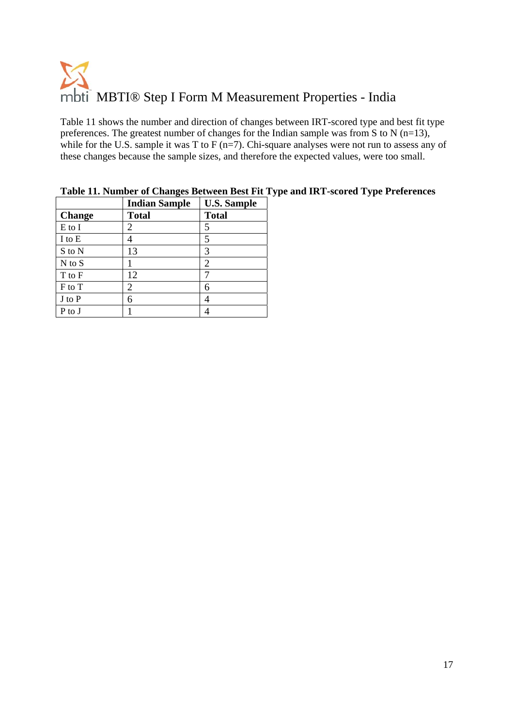Table 11 shows the number and direction of changes between IRT-scored type and best fit type preferences. The greatest number of changes for the Indian sample was from S to N ( $n=13$ ), while for the U.S. sample it was T to F (n=7). Chi-square analyses were not run to assess any of these changes because the sample sizes, and therefore the expected values, were too small.

|               | <b>Indian Sample</b> | <b>U.S. Sample</b> |
|---------------|----------------------|--------------------|
| <b>Change</b> | <b>Total</b>         | <b>Total</b>       |
| E to I        | 2                    | 5                  |
| I to E        |                      | 5                  |
| S to N        | 13                   | 3                  |
| $N$ to $S$    |                      | 2                  |
| T to F        | 12                   |                    |
| F to T        | 2                    | 6                  |
| J to P        | 6                    | 4                  |
| P to J        |                      |                    |

**Table 11. Number of Changes Between Best Fit Type and IRT-scored Type Preferences**